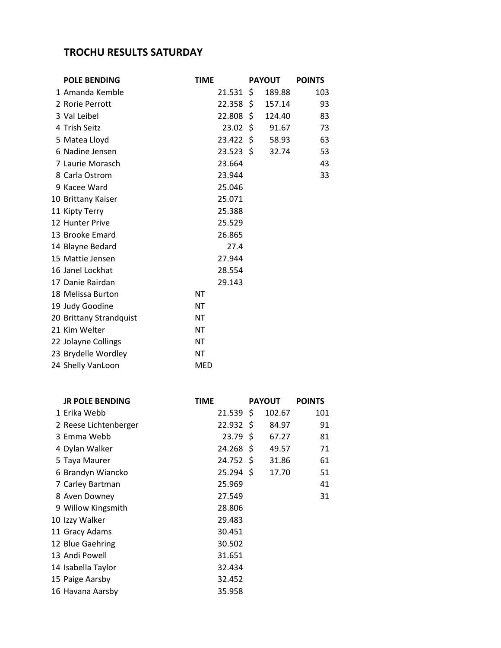## **TROCHU RESULTS SATURDAY**

| <b>POLE BENDING</b>     | <b>TIME</b> |              | <b>PAYOUT</b> | <b>POINTS</b> |
|-------------------------|-------------|--------------|---------------|---------------|
| 1 Amanda Kemble         |             | 21.531       | \$<br>189.88  | 103           |
| 2 Rorie Perrott         |             | $22.358$ \$  | 157.14        | 93            |
| 3 Val Leibel            |             | 22.808 \$    | 124.40        | 83            |
| 4 Trish Seitz           |             | $23.02 \div$ | 91.67         | 73            |
| 5 Matea Lloyd           |             | 23.422 \$    | 58.93         | 63            |
| 6 Nadine Jensen         |             | $23.523$ \$  | 32.74         | 53            |
| 7 Laurie Morasch        |             | 23.664       |               | 43            |
| 8 Carla Ostrom          |             | 23.944       |               | 33            |
| 9 Kacee Ward            |             | 25.046       |               |               |
| 10 Brittany Kaiser      |             | 25.071       |               |               |
| 11 Kipty Terry          |             | 25.388       |               |               |
| 12 Hunter Prive         |             | 25.529       |               |               |
| 13 Brooke Emard         |             | 26.865       |               |               |
| 14 Blayne Bedard        |             | 27.4         |               |               |
| 15 Mattie Jensen        |             | 27.944       |               |               |
| 16 Janel Lockhat        |             | 28.554       |               |               |
| 17 Danie Rairdan        |             | 29.143       |               |               |
| 18 Melissa Burton       | NΤ          |              |               |               |
| 19 Judy Goodine         | ΝT          |              |               |               |
| 20 Brittany Strandquist | NΤ          |              |               |               |
| 21 Kim Welter           | NΤ          |              |               |               |
| 22 Jolayne Collings     | NT          |              |               |               |
| 23 Brydelle Wordley     | NT          |              |               |               |
| 24 Shelly VanLoon       | MED         |              |               |               |

| <b>JR POLE BENDING</b> | <b>TIME</b> |                   | <b>PAYOUT</b> | <b>POINTS</b> |
|------------------------|-------------|-------------------|---------------|---------------|
| 1 Erika Webb           |             | $21.539$ \$       | 102.67        | 101           |
| 2 Reese Lichtenberger  |             | $22.932 \;$ \$    | 84.97         | 91            |
| 3 Emma Webb            |             | 23.79 S           | 67.27         | 81            |
| 4 Dylan Walker         |             | $24.268 \text{ }$ | 49.57         | 71            |
| 5 Taya Maurer          |             | 24.752 \$         | 31.86         | 61            |
| 6 Brandyn Wiancko      |             | $25.294$ \$       | 17.70         | 51            |
| 7 Carley Bartman       |             | 25.969            |               | 41            |
| 8 Aven Downey          |             | 27.549            |               | 31            |
| 9 Willow Kingsmith     |             | 28.806            |               |               |
| 10 Izzy Walker         |             | 29.483            |               |               |
| 11 Gracy Adams         |             | 30.451            |               |               |
| 12 Blue Gaehring       |             | 30.502            |               |               |
| 13 Andi Powell         |             | 31.651            |               |               |
| 14 Isabella Taylor     |             | 32.434            |               |               |
| 15 Paige Aarsby        |             | 32.452            |               |               |
| 16 Havana Aarsby       |             | 35.958            |               |               |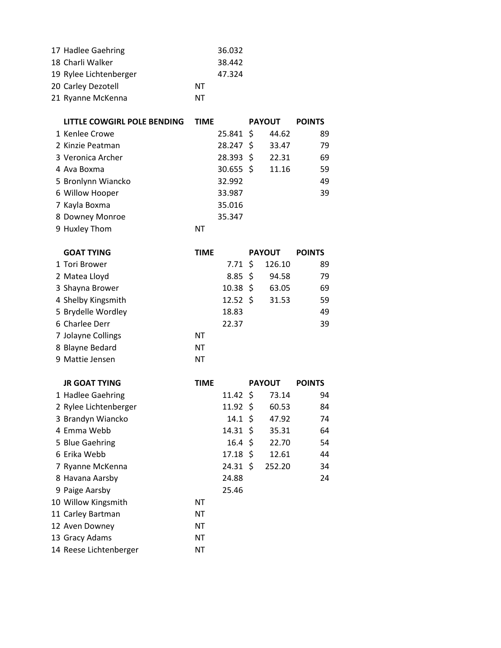| 17 Hadlee Gaehring     |    | 36.032 |
|------------------------|----|--------|
| 18 Charli Walker       |    | 38.442 |
| 19 Rylee Lichtenberger |    | 47.324 |
| 20 Carley Dezotell     | NΤ |        |
| 21 Ryanne McKenna      | ΝT |        |
|                        |    |        |

| LITTLE COWGIRL POLE BENDING | <b>TIME</b>    | <b>PAYOUT</b> | <b>POINTS</b> |
|-----------------------------|----------------|---------------|---------------|
| 1 Kenlee Crowe              | 25.841 \$      | 44.62         | 89            |
| 2 Kinzie Peatman            | 28.247 \$      | 33.47         | 79            |
| 3 Veronica Archer           | $28.393 \;$ \$ | 22.31         | 69            |
| 4 Ava Boxma                 | $30.655$ \$    | 11.16         | 59            |
| 5 Bronlynn Wiancko          | 32.992         |               | 49            |
| 6 Willow Hooper             | 33.987         |               | 39            |
| 7 Kayla Boxma               | 35.016         |               |               |
| 8 Downey Monroe             | 35.347         |               |               |
| 9 Huxley Thom               | ΝT             |               |               |

| <b>GOAT TYING</b>  | <b>TIME</b> |                     | <b>PAYOUT</b> | <b>POINTS</b> |
|--------------------|-------------|---------------------|---------------|---------------|
| 1 Tori Brower      |             | $7.71 \;$ \$        | 126.10        | 89            |
| 2 Matea Lloyd      |             | $8.85\frac{2}{3}$   | 94.58         | 79            |
| 3 Shayna Brower    |             | $10.38 \; \text{S}$ | 63.05         | 69            |
| 4 Shelby Kingsmith |             | $12.52 \div$        | 31.53         | 59            |
| 5 Brydelle Wordley |             | 18.83               |               | 49            |
| 6 Charlee Derr     |             | 22.37               |               | 39            |
| 7 Jolayne Collings | ΝT          |                     |               |               |
| 8 Blayne Bedard    | NT          |                     |               |               |
| 9 Mattie Jensen    | ΝT          |                     |               |               |

| <b>JR GOAT TYING</b>   | <b>TIME</b> |                     | <b>PAYOUT</b> | <b>POINTS</b> |
|------------------------|-------------|---------------------|---------------|---------------|
| 1 Hadlee Gaehring      |             | $11.42 \text{ }$    | 73.14         | 94            |
| 2 Rylee Lichtenberger  |             | $11.92 \text{ }$    | 60.53         | 84            |
| 3 Brandyn Wiancko      |             | $14.1 \; \text{S}$  | 47.92         | 74            |
| 4 Emma Webb            |             | 14.31 S             | 35.31         | 64            |
| 5 Blue Gaehring        |             | $16.4 \; \text{S}$  | 22.70         | 54            |
| 6 Erika Webb           |             | $17.18 \; \text{S}$ | 12.61         | 44            |
| 7 Ryanne McKenna       |             | 24.31 S             | 252.20        | 34            |
| 8 Havana Aarsby        |             | 24.88               |               | 24            |
| 9 Paige Aarsby         |             | 25.46               |               |               |
| 10 Willow Kingsmith    | NΤ          |                     |               |               |
| 11 Carley Bartman      | NΤ          |                     |               |               |
| 12 Aven Downey         | NΤ          |                     |               |               |
| 13 Gracy Adams         | NΤ          |                     |               |               |
| 14 Reese Lichtenberger | NΤ          |                     |               |               |
|                        |             |                     |               |               |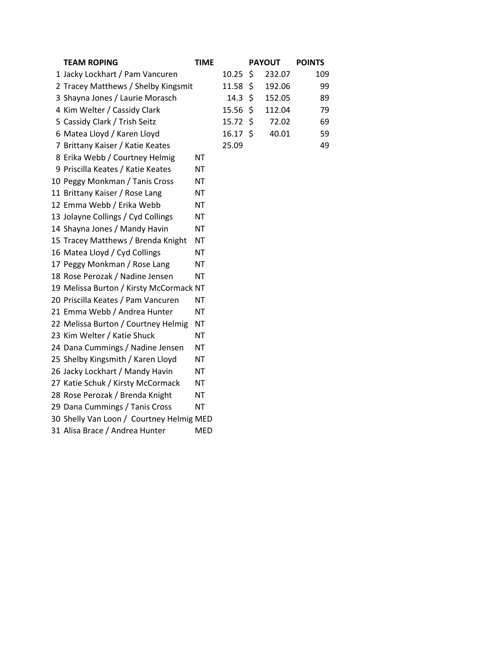| <b>TEAM ROPING</b>                       | <b>TIME</b> |       | <b>PAYOUT</b> | <b>POINTS</b> |
|------------------------------------------|-------------|-------|---------------|---------------|
| 1 Jacky Lockhart / Pam Vancuren          |             | 10.25 | \$<br>232.07  | 109           |
| 2 Tracey Matthews / Shelby Kingsmit      |             | 11.58 | \$<br>192.06  | 99            |
| 3 Shayna Jones / Laurie Morasch          |             | 14.3  | \$<br>152.05  | 89            |
| 4 Kim Welter / Cassidy Clark             |             | 15.56 | \$<br>112.04  | 79            |
| 5 Cassidy Clark / Trish Seitz            |             | 15.72 | \$<br>72.02   | 69            |
| 6 Matea Lloyd / Karen Lloyd              |             | 16.17 | \$<br>40.01   | 59            |
| 7 Brittany Kaiser / Katie Keates         |             | 25.09 |               | 49            |
| 8 Erika Webb / Courtney Helmig           | <b>NT</b>   |       |               |               |
| 9 Priscilla Keates / Katie Keates        | <b>NT</b>   |       |               |               |
| 10 Peggy Monkman / Tanis Cross           | <b>NT</b>   |       |               |               |
| 11 Brittany Kaiser / Rose Lang           | ΝT          |       |               |               |
| 12 Emma Webb / Erika Webb                | <b>NT</b>   |       |               |               |
| 13 Jolayne Collings / Cyd Collings       | ΝT          |       |               |               |
| 14 Shayna Jones / Mandy Havin            | <b>NT</b>   |       |               |               |
| 15 Tracey Matthews / Brenda Knight       | <b>NT</b>   |       |               |               |
| 16 Matea Lloyd / Cyd Collings            | <b>NT</b>   |       |               |               |
| 17 Peggy Monkman / Rose Lang             | <b>NT</b>   |       |               |               |
| 18 Rose Perozak / Nadine Jensen          | <b>NT</b>   |       |               |               |
| 19 Melissa Burton / Kirsty McCormack NT  |             |       |               |               |
| 20 Priscilla Keates / Pam Vancuren       | <b>NT</b>   |       |               |               |
| 21 Emma Webb / Andrea Hunter             | <b>NT</b>   |       |               |               |
| 22 Melissa Burton / Courtney Helmig      | <b>NT</b>   |       |               |               |
| 23 Kim Welter / Katie Shuck              | <b>NT</b>   |       |               |               |
| 24 Dana Cummings / Nadine Jensen         | <b>NT</b>   |       |               |               |
| 25 Shelby Kingsmith / Karen Lloyd        | <b>NT</b>   |       |               |               |
| 26 Jacky Lockhart / Mandy Havin          | ΝT          |       |               |               |
| 27 Katie Schuk / Kirsty McCormack        | ΝT          |       |               |               |
| 28 Rose Perozak / Brenda Knight          | <b>NT</b>   |       |               |               |
| 29 Dana Cummings / Tanis Cross           | ΝT          |       |               |               |
| 30 Shelly Van Loon / Courtney Helmig MED |             |       |               |               |
| 31 Alisa Brace / Andrea Hunter           | <b>MED</b>  |       |               |               |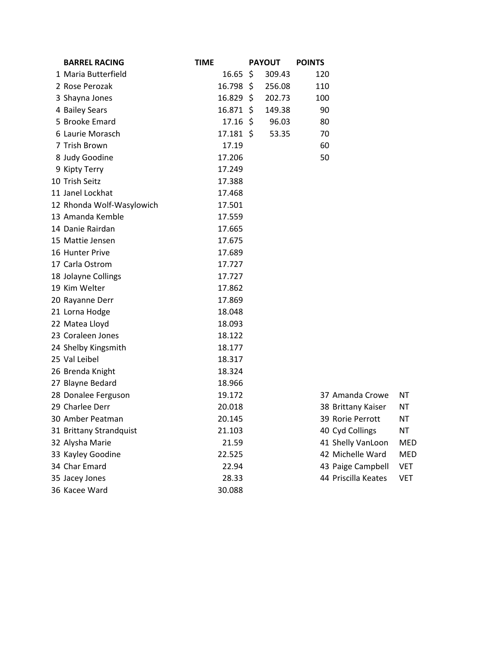| <b>BARREL RACING</b>      | <b>TIME</b> |                     | <b>PAYOUT</b> | <b>POINTS</b> |                     |            |
|---------------------------|-------------|---------------------|---------------|---------------|---------------------|------------|
| 1 Maria Butterfield       |             | $16.65 \; \simeq$   | 309.43        | 120           |                     |            |
| 2 Rose Perozak            |             | $16.798 \;$ \$      | 256.08        | 110           |                     |            |
| 3 Shayna Jones            |             | $16.829$ \$         | 202.73        | 100           |                     |            |
| 4 Bailey Sears            |             | $16.871 \text{ }$   | 149.38        | 90            |                     |            |
| 5 Brooke Emard            |             | $17.16 \; \text{S}$ | 96.03         | 80            |                     |            |
| 6 Laurie Morasch          |             | $17.181 \;$ \$      | 53.35         | 70            |                     |            |
| 7 Trish Brown             |             | 17.19               |               | 60            |                     |            |
| 8 Judy Goodine            |             | 17.206              |               | 50            |                     |            |
| 9 Kipty Terry             |             | 17.249              |               |               |                     |            |
| 10 Trish Seitz            |             | 17.388              |               |               |                     |            |
| 11 Janel Lockhat          |             | 17.468              |               |               |                     |            |
| 12 Rhonda Wolf-Wasylowich |             | 17.501              |               |               |                     |            |
| 13 Amanda Kemble          |             | 17.559              |               |               |                     |            |
| 14 Danie Rairdan          |             | 17.665              |               |               |                     |            |
| 15 Mattie Jensen          |             | 17.675              |               |               |                     |            |
| 16 Hunter Prive           |             | 17.689              |               |               |                     |            |
| 17 Carla Ostrom           |             | 17.727              |               |               |                     |            |
| 18 Jolayne Collings       |             | 17.727              |               |               |                     |            |
| 19 Kim Welter             |             | 17.862              |               |               |                     |            |
| 20 Rayanne Derr           |             | 17.869              |               |               |                     |            |
| 21 Lorna Hodge            |             | 18.048              |               |               |                     |            |
| 22 Matea Lloyd            |             | 18.093              |               |               |                     |            |
| 23 Coraleen Jones         |             | 18.122              |               |               |                     |            |
| 24 Shelby Kingsmith       |             | 18.177              |               |               |                     |            |
| 25 Val Leibel             |             | 18.317              |               |               |                     |            |
| 26 Brenda Knight          |             | 18.324              |               |               |                     |            |
| 27 Blayne Bedard          |             | 18.966              |               |               |                     |            |
| 28 Donalee Ferguson       |             | 19.172              |               |               | 37 Amanda Crowe     | NΤ         |
| 29 Charlee Derr           |             | 20.018              |               |               | 38 Brittany Kaiser  | NT         |
| 30 Amber Peatman          |             | 20.145              |               |               | 39 Rorie Perrott    | <b>NT</b>  |
| 31 Brittany Strandquist   |             | 21.103              |               |               | 40 Cyd Collings     | <b>NT</b>  |
| 32 Alysha Marie           |             | 21.59               |               |               | 41 Shelly VanLoon   | <b>MED</b> |
| 33 Kayley Goodine         |             | 22.525              |               |               | 42 Michelle Ward    | <b>MED</b> |
| 34 Char Emard             |             | 22.94               |               |               | 43 Paige Campbell   | <b>VET</b> |
| 35 Jacey Jones            |             | 28.33               |               |               | 44 Priscilla Keates | <b>VET</b> |
| 36 Kacee Ward             |             | 30.088              |               |               |                     |            |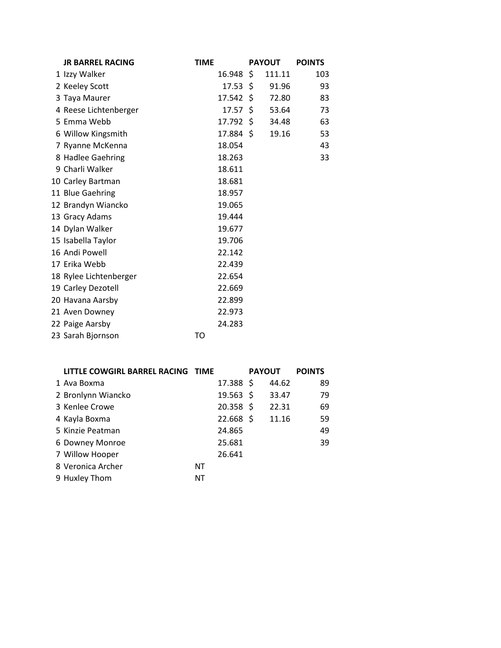| <b>JR BARREL RACING</b> | <b>TIME</b> |                     |     | <b>PAYOUT</b> | <b>POINTS</b> |
|-------------------------|-------------|---------------------|-----|---------------|---------------|
| 1 Izzy Walker           | 16.948      |                     | \$  | 111.11        | 103           |
| 2 Keeley Scott          |             | $17.53 \; \text{S}$ |     | 91.96         | 93            |
| 3 Taya Maurer           | 17.542      |                     | \$  | 72.80         | 83            |
| 4 Reese Lichtenberger   |             | 17.57               | -\$ | 53.64         | 73            |
| 5 Emma Webb             | 17.792      |                     | -\$ | 34.48         | 63            |
| 6 Willow Kingsmith      | 17.884 \$   |                     |     | 19.16         | 53            |
| 7 Ryanne McKenna        | 18.054      |                     |     |               | 43            |
| 8 Hadlee Gaehring       | 18.263      |                     |     |               | 33            |
| 9 Charli Walker         | 18.611      |                     |     |               |               |
| 10 Carley Bartman       | 18.681      |                     |     |               |               |
| 11 Blue Gaehring        | 18.957      |                     |     |               |               |
| 12 Brandyn Wiancko      | 19.065      |                     |     |               |               |
| 13 Gracy Adams          | 19.444      |                     |     |               |               |
| 14 Dylan Walker         | 19.677      |                     |     |               |               |
| 15 Isabella Taylor      | 19.706      |                     |     |               |               |
| 16 Andi Powell          | 22.142      |                     |     |               |               |
| 17 Erika Webb           | 22.439      |                     |     |               |               |
| 18 Rylee Lichtenberger  | 22.654      |                     |     |               |               |
| 19 Carley Dezotell      | 22.669      |                     |     |               |               |
| 20 Havana Aarsby        | 22.899      |                     |     |               |               |
| 21 Aven Downey          | 22.973      |                     |     |               |               |
| 22 Paige Aarsby         | 24.283      |                     |     |               |               |
| 23 Sarah Bjornson       | TO          |                     |     |               |               |

| LITTLE COWGIRL BARREL RACING TIME |    |             | <b>PAYOUT</b> |       | <b>POINTS</b> |
|-----------------------------------|----|-------------|---------------|-------|---------------|
| 1 Ava Boxma                       |    | 17.388 \$   |               | 44.62 | 89            |
| 2 Bronlynn Wiancko                |    | $19.563$ \$ |               | 33.47 | 79            |
| 3 Kenlee Crowe                    |    | $20.358$ \$ |               | 22.31 | 69            |
| 4 Kayla Boxma                     |    | $22.668$ \$ |               | 11.16 | 59            |
| 5 Kinzie Peatman                  |    | 24.865      |               |       | 49            |
| 6 Downey Monroe                   |    | 25.681      |               |       | 39            |
| 7 Willow Hooper                   |    | 26.641      |               |       |               |
| 8 Veronica Archer                 | ΝT |             |               |       |               |
| 9 Huxley Thom                     | ΝT |             |               |       |               |